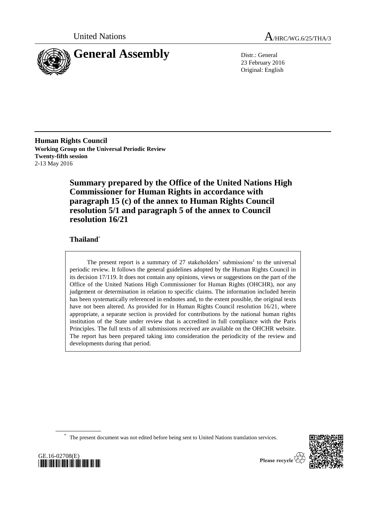



23 February 2016 Original: English

**Human Rights Council Working Group on the Universal Periodic Review Twenty-fifth session** 2-13 May 2016

> **Summary prepared by the Office of the United Nations High Commissioner for Human Rights in accordance with paragraph 15 (c) of the annex to Human Rights Council resolution 5/1 and paragraph 5 of the annex to Council resolution 16/21**

# **Thailand**\*

The present report is a summary of  $27$  stakeholders' submissions<sup>1</sup> to the universal periodic review. It follows the general guidelines adopted by the Human Rights Council in its decision 17/119. It does not contain any opinions, views or suggestions on the part of the Office of the United Nations High Commissioner for Human Rights (OHCHR), nor any judgement or determination in relation to specific claims. The information included herein has been systematically referenced in endnotes and, to the extent possible, the original texts have not been altered. As provided for in Human Rights Council resolution 16/21, where appropriate, a separate section is provided for contributions by the national human rights institution of the State under review that is accredited in full compliance with the Paris Principles. The full texts of all submissions received are available on the OHCHR website. The report has been prepared taking into consideration the periodicity of the review and developments during that period.

\* The present document was not edited before being sent to United Nations translation services.



GE.16-02708(E) *\*1602708\**

Please recycle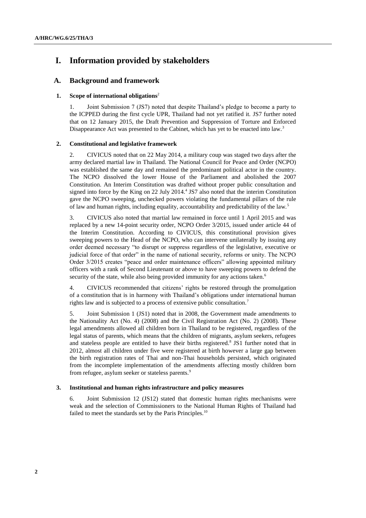# **I. Information provided by stakeholders**

# **A. Background and framework**

### **1. Scope of international obligations**<sup>2</sup>

1. Joint Submission 7 (JS7) noted that despite Thailand's pledge to become a party to the ICPPED during the first cycle UPR, Thailand had not yet ratified it. JS7 further noted that on 12 January 2015, the Draft Prevention and Suppression of Torture and Enforced Disappearance Act was presented to the Cabinet, which has yet to be enacted into law.<sup>3</sup>

### **2. Constitutional and legislative framework**

2. CIVICUS noted that on 22 May 2014, a military coup was staged two days after the army declared martial law in Thailand. The National Council for Peace and Order (NCPO) was established the same day and remained the predominant political actor in the country. The NCPO dissolved the lower House of the Parliament and abolished the 2007 Constitution. An Interim Constitution was drafted without proper public consultation and signed into force by the King on 22 July 2014.<sup>4</sup> JS7 also noted that the interim Constitution gave the NCPO sweeping, unchecked powers violating the fundamental pillars of the rule of law and human rights, including equality, accountability and predictability of the law.<sup>5</sup>

3. CIVICUS also noted that martial law remained in force until 1 April 2015 and was replaced by a new 14-point security order, NCPO Order 3/2015, issued under article 44 of the Interim Constitution. According to CIVICUS, this constitutional provision gives sweeping powers to the Head of the NCPO, who can intervene unilaterally by issuing any order deemed necessary "to disrupt or suppress regardless of the legislative, executive or judicial force of that order" in the name of national security, reforms or unity. The NCPO Order 3/2015 creates "peace and order maintenance officers" allowing appointed military officers with a rank of Second Lieutenant or above to have sweeping powers to defend the security of the state, while also being provided immunity for any actions taken.<sup>6</sup>

4. CIVICUS recommended that citizens' rights be restored through the promulgation of a constitution that is in harmony with Thailand's obligations under international human rights law and is subjected to a process of extensive public consultation.<sup>7</sup>

5. Joint Submission 1 (JS1) noted that in 2008, the Government made amendments to the Nationality Act (No. 4) (2008) and the Civil Registration Act (No. 2) (2008). These legal amendments allowed all children born in Thailand to be registered, regardless of the legal status of parents, which means that the children of migrants, asylum seekers, refugees and stateless people are entitled to have their births registered.<sup>8</sup> JS1 further noted that in 2012, almost all children under five were registered at birth however a large gap between the birth registration rates of Thai and non-Thai households persisted, which originated from the incomplete implementation of the amendments affecting mostly children born from refugee, asylum seeker or stateless parents.<sup>9</sup>

#### **3. Institutional and human rights infrastructure and policy measures**

6. Joint Submission 12 (JS12) stated that domestic human rights mechanisms were weak and the selection of Commissioners to the National Human Rights of Thailand had failed to meet the standards set by the Paris Principles.<sup>10</sup>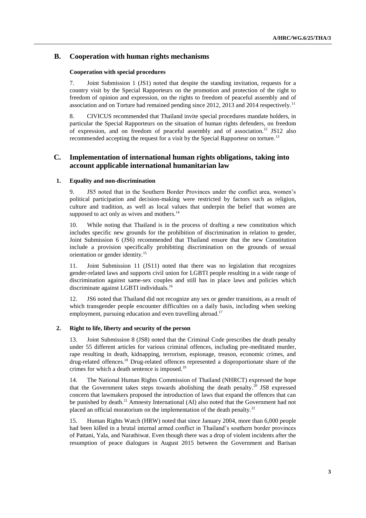# **B. Cooperation with human rights mechanisms**

#### **Cooperation with special procedures**

7. Joint Submission 1 (JS1) noted that despite the standing invitation, requests for a country visit by the Special Rapporteurs on the promotion and protection of the right to freedom of opinion and expression, on the rights to freedom of peaceful assembly and of association and on Torture had remained pending since 2012, 2013 and 2014 respectively.<sup>11</sup>

8. CIVICUS recommended that Thailand invite special procedures mandate holders, in particular the Special Rapporteurs on the situation of human rights defenders, on freedom of expression, and on freedom of peaceful assembly and of association.<sup>12</sup> JS12 also recommended accepting the request for a visit by the Special Rapporteur on torture.<sup>13</sup>

# **C. Implementation of international human rights obligations, taking into account applicable international humanitarian law**

### **1. Equality and non-discrimination**

9. JS5 noted that in the Southern Border Provinces under the conflict area, women's political participation and decision-making were restricted by factors such as religion, culture and tradition, as well as local values that underpin the belief that women are supposed to act only as wives and mothers.<sup>14</sup>

10. While noting that Thailand is in the process of drafting a new constitution which includes specific new grounds for the prohibition of discrimination in relation to gender, Joint Submission 6 (JS6) recommended that Thailand ensure that the new Constitution include a provision specifically prohibiting discrimination on the grounds of sexual orientation or gender identity.<sup>15</sup>

11. Joint Submission 11 (JS11) noted that there was no legislation that recognizes gender-related laws and supports civil union for LGBTI people resulting in a wide range of discrimination against same-sex couples and still has in place laws and policies which discriminate against LGBTI individuals.<sup>16</sup>

12. JS6 noted that Thailand did not recognize any sex or gender transitions, as a result of which transgender people encounter difficulties on a daily basis, including when seeking employment, pursuing education and even travelling abroad.<sup>17</sup>

### **2. Right to life, liberty and security of the person**

13. Joint Submission 8 (JS8) noted that the Criminal Code prescribes the death penalty under 55 different articles for various criminal offences, including pre-meditated murder, rape resulting in death, kidnapping, terrorism, espionage, treason, economic crimes, and drug-related offences.<sup>18</sup> Drug-related offences represented a disproportionate share of the crimes for which a death sentence is imposed.<sup>19</sup>

14. The National Human Rights Commission of Thailand (NHRCT) expressed the hope that the Government takes steps towards abolishing the death penalty.<sup>20</sup> JS8 expressed concern that lawmakers proposed the introduction of laws that expand the offences that can be punished by death.<sup>21</sup> Amnesty International (AI) also noted that the Government had not placed an official moratorium on the implementation of the death penalty.<sup>22</sup>

15. Human Rights Watch (HRW) noted that since January 2004, more than 6,000 people had been killed in a brutal internal armed conflict in Thailand's southern border provinces of Pattani, Yala, and Narathiwat. Even though there was a drop of violent incidents after the resumption of peace dialogues in August 2015 between the Government and Barisan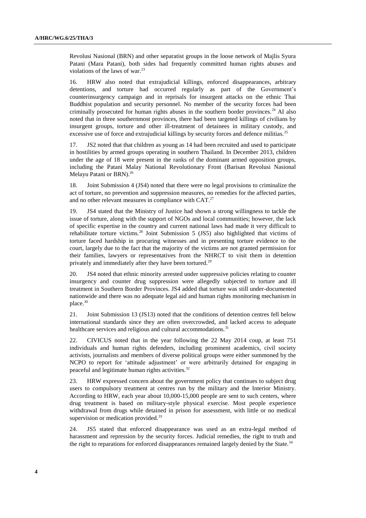Revolusi Nasional (BRN) and other separatist groups in the loose network of Majlis Syura Patani (Mara Patani), both sides had frequently committed human rights abuses and violations of the laws of war. $^{23}$ 

16. HRW also noted that extrajudicial killings, enforced disappearances, arbitrary detentions, and torture had occurred regularly as part of the Government's counterinsurgency campaign and in reprisals for insurgent attacks on the ethnic Thai Buddhist population and security personnel. No member of the security forces had been criminally prosecuted for human rights abuses in the southern border provinces.<sup>24</sup> AI also noted that in three southernmost provinces, there had been targeted killings of civilians by insurgent groups, torture and other ill-treatment of detainees in military custody, and excessive use of force and extrajudicial killings by security forces and defence militias.<sup>25</sup>

17. JS2 noted that that children as young as 14 had been recruited and used to participate in hostilities by armed groups operating in southern Thailand. In December 2013, children under the age of 18 were present in the ranks of the dominant armed opposition groups, including the Patani Malay National Revolutionary Front (Barisan Revolusi Nasional Melayu Patani or BRN).<sup>26</sup>

18. Joint Submission 4 (JS4) noted that there were no legal provisions to criminalize the act of torture, no prevention and suppression measures, no remedies for the affected parties, and no other relevant measures in compliance with CAT.<sup>27</sup>

19. JS4 stated that the Ministry of Justice had shown a strong willingness to tackle the issue of torture, along with the support of NGOs and local communities; however, the lack of specific expertise in the country and current national laws had made it very difficult to rehabilitate torture victims. $28$  Joint Submission 5 (JS5) also highlighted that victims of torture faced hardship in procuring witnesses and in presenting torture evidence to the court, largely due to the fact that the majority of the victims are not granted permission for their families, lawyers or representatives from the NHRCT to visit them in detention privately and immediately after they have been tortured.<sup>29</sup>

20. JS4 noted that ethnic minority arrested under suppressive policies relating to counter insurgency and counter drug suppression were allegedly subjected to torture and ill treatment in Southern Border Provinces. JS4 added that torture was still under-documented nationwide and there was no adequate legal aid and human rights monitoring mechanism in place.<sup>30</sup>

21. Joint Submission 13 (JS13) noted that the conditions of detention centres fell below international standards since they are often overcrowded, and lacked access to adequate healthcare services and religious and cultural accommodations.<sup>31</sup>

22. CIVICUS noted that in the year following the 22 May 2014 coup, at least 751 individuals and human rights defenders, including prominent academics, civil society activists, journalists and members of diverse political groups were either summoned by the NCPO to report for 'attitude adjustment' or were arbitrarily detained for engaging in peaceful and legitimate human rights activities.<sup>32</sup>

23. HRW expressed concern about the government policy that continues to subject drug users to compulsory treatment at centres run by the military and the Interior Ministry. According to HRW, each year about 10,000-15,000 people are sent to such centers, where drug treatment is based on military-style physical exercise. Most people experience withdrawal from drugs while detained in prison for assessment, with little or no medical supervision or medication provided.<sup>33</sup>

24. JS5 stated that enforced disappearance was used as an extra-legal method of harassment and repression by the security forces. Judicial remedies, the right to truth and the right to reparations for enforced disappearances remained largely denied by the State.<sup>34</sup>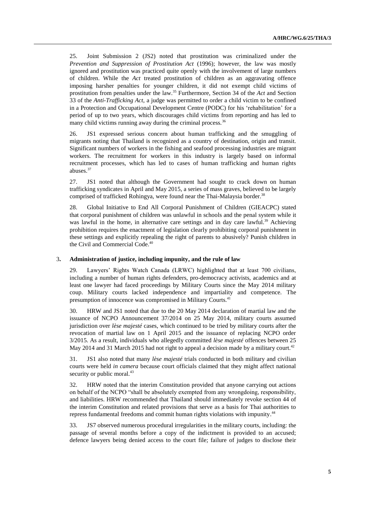25. Joint Submission 2 (JS2) noted that prostitution was criminalized under the *Prevention and Suppression of Prostitution Act* (1996); however, the law was mostly ignored and prostitution was practiced quite openly with the involvement of large numbers of children. While the *Act* treated prostitution of children as an aggravating offence imposing harsher penalties for younger children, it did not exempt child victims of prostitution from penalties under the law. <sup>35</sup> Furthermore, Section 34 of the *Act* and Section 33 of the *Anti-Trafficking Act*, a judge was permitted to order a child victim to be confined in a Protection and Occupational Development Centre (PODC) for his 'rehabilitation' for a period of up to two years, which discourages child victims from reporting and has led to many child victims running away during the criminal process.<sup>36</sup>

26. JS1 expressed serious concern about human trafficking and the smuggling of migrants noting that Thailand is recognized as a country of destination, origin and transit. Significant numbers of workers in the fishing and seafood processing industries are migrant workers. The recruitment for workers in this industry is largely based on informal recruitment processes, which has led to cases of human trafficking and human rights abuses.<sup>37</sup>

27. JS1 noted that although the Government had sought to crack down on human trafficking syndicates in April and May 2015, a series of mass graves, believed to be largely comprised of trafficked Rohingya, were found near the Thai-Malaysia border.<sup>38</sup>

28. Global Initiative to End All Corporal Punishment of Children (GIEACPC) stated that corporal punishment of children was unlawful in schools and the penal system while it was lawful in the home, in alternative care settings and in day care lawful.<sup>39</sup> Achieving prohibition requires the enactment of legislation clearly prohibiting corporal punishment in these settings and explicitly repealing the right of parents to abusively? Punish children in the Civil and Commercial Code. 40

## 3**. Administration of justice, including impunity, and the rule of law**

29. Lawyers' Rights Watch Canada (LRWC) highlighted that at least 700 civilians, including a number of human rights defenders, pro-democracy activists, academics and at least one lawyer had faced proceedings by Military Courts since the May 2014 military coup. Military courts lacked independence and impartiality and competence. The presumption of innocence was compromised in Military Courts.<sup>41</sup>

30. HRW and JS1 noted that due to the 20 May 2014 declaration of martial law and the issuance of NCPO Announcement 37/2014 on 25 May 2014, military courts assumed jurisdiction over *lèse majesté* cases, which continued to be tried by military courts after the revocation of martial law on 1 April 2015 and the issuance of replacing NCPO order 3/2015. As a result, individuals who allegedly committed *lèse majesté* offences between 25 May 2014 and 31 March 2015 had not right to appeal a decision made by a military court.<sup>42</sup>

31. JS1 also noted that many *lèse majesté* trials conducted in both military and civilian courts were held *in camera* because court officials claimed that they might affect national security or public moral.<sup>43</sup>

32. HRW noted that the interim Constitution provided that anyone carrying out actions on behalf of the NCPO "shall be absolutely exempted from any wrongdoing, responsibility, and liabilities. HRW recommended that Thailand should immediately revoke section 44 of the interim Constitution and related provisions that serve as a basis for Thai authorities to repress fundamental freedoms and commit human rights violations with impunity. 44

33. JS7 observed numerous procedural irregularities in the military courts, including: the passage of several months before a copy of the indictment is provided to an accused; defence lawyers being denied access to the court file; failure of judges to disclose their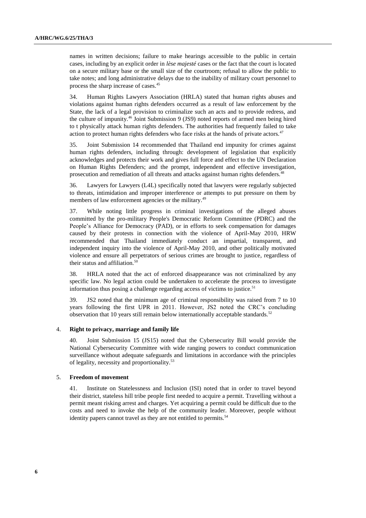names in written decisions; failure to make hearings accessible to the public in certain cases, including by an explicit order in *lèse majesté* cases or the fact that the court is located on a secure military base or the small size of the courtroom; refusal to allow the public to take notes; and long administrative delays due to the inability of military court personnel to process the sharp increase of cases. 45

34. Human Rights Lawyers Association (HRLA) stated that human rights abuses and violations against human rights defenders occurred as a result of law enforcement by the State, the lack of a legal provision to criminalize such an acts and to provide redress, and the culture of impunity.<sup>46</sup> Joint Submission 9 (JS9) noted reports of armed men being hired to t physically attack human rights defenders. The authorities had frequently failed to take action to protect human rights defenders who face risks at the hands of private actors. $47$ 

35. Joint Submission 14 recommended that Thailand end impunity for crimes against human rights defenders, including through: development of legislation that explicitly acknowledges and protects their work and gives full force and effect to the UN Declaration on Human Rights Defenders; and the prompt, independent and effective investigation, prosecution and remediation of all threats and attacks against human rights defenders.<sup>48</sup>

36. Lawyers for Lawyers (L4L) specifically noted that lawyers were regularly subjected to threats, intimidation and improper interference or attempts to put pressure on them by members of law enforcement agencies or the military.<sup>49</sup>

37. While noting little progress in criminal investigations of the alleged abuses committed by the pro-military People's Democratic Reform Committee (PDRC) and the People's Alliance for Democracy (PAD), or in efforts to seek compensation for damages caused by their protests in connection with the violence of April-May 2010, HRW recommended that Thailand immediately conduct an impartial, transparent, and independent inquiry into the violence of April-May 2010, and other politically motivated violence and ensure all perpetrators of serious crimes are brought to justice, regardless of their status and affiliation. $50$ 

38. HRLA noted that the act of enforced disappearance was not criminalized by any specific law. No legal action could be undertaken to accelerate the process to investigate information thus posing a challenge regarding access of victims to justice.<sup>51</sup>

39. JS2 noted that the minimum age of criminal responsibility was raised from 7 to 10 years following the first UPR in 2011. However, JS2 noted the CRC's concluding observation that 10 years still remain below internationally acceptable standards.<sup>52</sup>

#### 4. **Right to privacy, marriage and family life**

40. Joint Submission 15 (JS15) noted that the Cybersecurity Bill would provide the National Cybersecurity Committee with wide ranging powers to conduct communication surveillance without adequate safeguards and limitations in accordance with the principles of legality, necessity and proportionality.<sup>53</sup>

#### 5. **Freedom of movement**

41. Institute on Statelessness and Inclusion (ISI) noted that in order to travel beyond their district, stateless hill tribe people first needed to acquire a permit. Travelling without a permit meant risking arrest and charges. Yet acquiring a permit could be difficult due to the costs and need to invoke the help of the community leader. Moreover, people without identity papers cannot travel as they are not entitled to permits.<sup>5</sup>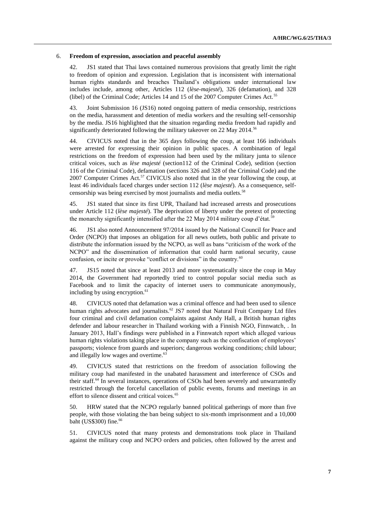#### 6. **Freedom of expression, association and peaceful assembly**

42. JS1 stated that Thai laws contained numerous provisions that greatly limit the right to freedom of opinion and expression. Legislation that is inconsistent with international human rights standards and breaches Thailand's obligations under international law includes include, among other, Articles 112 (*lèse-majesté*), 326 (defamation), and 328 (libel) of the Criminal Code; Articles 14 and 15 of the 2007 Computer Crimes Act.<sup>55</sup>

43. Joint Submission 16 (JS16) noted ongoing pattern of media censorship, restrictions on the media, harassment and detention of media workers and the resulting self-censorship by the media. JS16 highlighted that the situation regarding media freedom had rapidly and significantly deteriorated following the military takeover on 22 May 2014.<sup>56</sup>

44. CIVICUS noted that in the 365 days following the coup, at least 166 individuals were arrested for expressing their opinion in public spaces. A combination of legal restrictions on the freedom of expression had been used by the military junta to silence critical voices, such as *lèse majesté* (section112 of the Criminal Code), sedition (section 116 of the Criminal Code), defamation (sections 326 and 328 of the Criminal Code) and the 2007 Computer Crimes Act.<sup>57</sup> CIVICUS also noted that in the year following the coup, at least 46 individuals faced charges under section 112 (*lèse majesté*). As a consequence, selfcensorship was being exercised by most journalists and media outlets.<sup>58</sup>

45. JS1 stated that since its first UPR, Thailand had increased arrests and prosecutions under Article 112 (*lèse majesté*). The deprivation of liberty under the pretext of protecting the monarchy significantly intensified after the 22 May 2014 military coup d'état.<sup>59</sup>

46. JS1 also noted Announcement 97/2014 issued by the National Council for Peace and Order (NCPO) that imposes an obligation for all news outlets, both public and private to distribute the information issued by the NCPO, as well as bans "criticism of the work of the NCPO" and the dissemination of information that could harm national security, cause confusion, or incite or provoke "conflict or divisions" in the country.<sup>60</sup>

47. JS15 noted that since at least 2013 and more systematically since the coup in May 2014, the Government had reportedly tried to control popular social media such as Facebook and to limit the capacity of internet users to communicate anonymously, including by using encryption.<sup>61</sup>

48. CIVICUS noted that defamation was a criminal offence and had been used to silence human rights advocates and journalists.<sup>62</sup> JS7 noted that Natural Fruit Company Ltd files four criminal and civil defamation complaints against Andy Hall, a British human rights defender and labour researcher in Thailand working with a Finnish NGO, Finnwatch, . In January 2013, Hall's findings were published in a Finnwatch report which alleged various human rights violations taking place in the company such as the confiscation of employees' passports; violence from guards and superiors; dangerous working conditions; child labour; and illegally low wages and overtime.<sup>63</sup>

49. CIVICUS stated that restrictions on the freedom of association following the military coup had manifested in the unabated harassment and interference of CSOs and their staff.<sup>64</sup> In several instances, operations of CSOs had been severely and unwarrantedly restricted through the forceful cancellation of public events, forums and meetings in an effort to silence dissent and critical voices.<sup>65</sup>

50. HRW stated that the NCPO regularly banned political gatherings of more than five people, with those violating the ban being subject to six-month imprisonment and a 10,000 baht (US\$300) fine.<sup>66</sup>

51. CIVICUS noted that many protests and demonstrations took place in Thailand against the military coup and NCPO orders and policies, often followed by the arrest and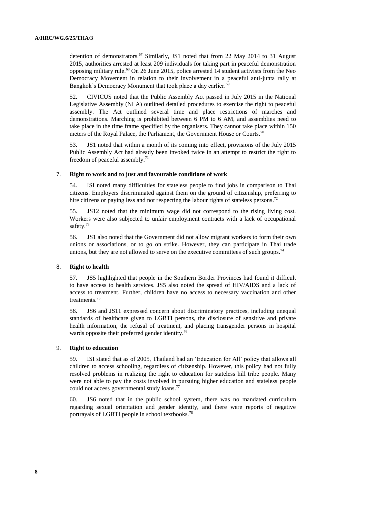detention of demonstrators.<sup>67</sup> Similarly, JS1 noted that from 22 May 2014 to 31 August 2015, authorities arrested at least 209 individuals for taking part in peaceful demonstration opposing military rule.<sup>68</sup> On 26 June 2015, police arrested  $\overline{14}$  student activists from the Neo Democracy Movement in relation to their involvement in a peaceful anti-junta rally at Bangkok's Democracy Monument that took place a day earlier.<sup>69</sup>

52. CIVICUS noted that the Public Assembly Act passed in July 2015 in the National Legislative Assembly (NLA) outlined detailed procedures to exercise the right to peaceful assembly. The Act outlined several time and place restrictions of marches and demonstrations. Marching is prohibited between 6 PM to 6 AM, and assemblies need to take place in the time frame specified by the organisers. They cannot take place within 150 meters of the Royal Palace, the Parliament, the Government House or Courts.<sup>70</sup>

53. JS1 noted that within a month of its coming into effect, provisions of the July 2015 Public Assembly Act had already been invoked twice in an attempt to restrict the right to freedom of peaceful assembly. $71$ 

#### 7. **Right to work and to just and favourable conditions of work**

54. ISI noted many difficulties for stateless people to find jobs in comparison to Thai citizens. Employers discriminated against them on the ground of citizenship, preferring to hire citizens or paying less and not respecting the labour rights of stateless persons.<sup>72</sup>

55. JS12 noted that the minimum wage did not correspond to the rising living cost. Workers were also subjected to unfair employment contracts with a lack of occupational safety.<sup>73</sup>

56. JS1 also noted that the Government did not allow migrant workers to form their own unions or associations, or to go on strike. However, they can participate in Thai trade unions, but they are not allowed to serve on the executive committees of such groups.<sup>74</sup>

#### 8. **Right to health**

57. JS5 highlighted that people in the Southern Border Provinces had found it difficult to have access to health services. JS5 also noted the spread of HIV/AIDS and a lack of access to treatment. Further, children have no access to necessary vaccination and other treatments.<sup>75</sup>

58. JS6 and JS11 expressed concern about discriminatory practices, including unequal standards of healthcare given to LGBTI persons, the disclosure of sensitive and private health information, the refusal of treatment, and placing transgender persons in hospital wards opposite their preferred gender identity.<sup>76</sup>

#### 9. **Right to education**

59. ISI stated that as of 2005, Thailand had an 'Education for All' policy that allows all children to access schooling, regardless of citizenship. However, this policy had not fully resolved problems in realizing the right to education for stateless hill tribe people. Many were not able to pay the costs involved in pursuing higher education and stateless people could not access governmental study loans.<sup>77</sup>

60. JS6 noted that in the public school system, there was no mandated curriculum regarding sexual orientation and gender identity, and there were reports of negative portrayals of LGBTI people in school textbooks.<sup>78</sup>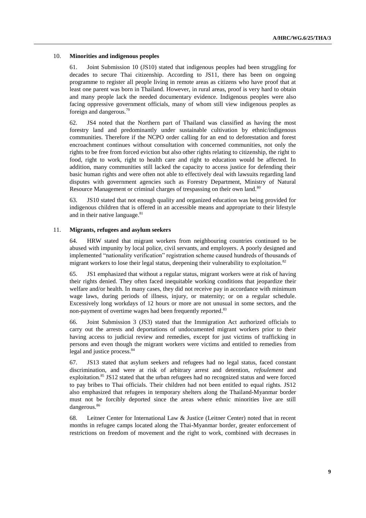#### 10. **Minorities and indigenous peoples**

61. Joint Submission 10 (JS10) stated that indigenous peoples had been struggling for decades to secure Thai citizenship. According to JS11, there has been on ongoing programme to register all people living in remote areas as citizens who have proof that at least one parent was born in Thailand. However, in rural areas, proof is very hard to obtain and many people lack the needed documentary evidence. Indigenous peoples were also facing oppressive government officials, many of whom still view indigenous peoples as foreign and dangerous.<sup>79</sup>

62. JS4 noted that the Northern part of Thailand was classified as having the most forestry land and predominantly under sustainable cultivation by ethnic/indigenous communities. Therefore if the NCPO order calling for an end to deforestation and forest encroachment continues without consultation with concerned communities, not only the rights to be free from forced eviction but also other rights relating to citizenship, the right to food, right to work, right to health care and right to education would be affected. In addition, many communities still lacked the capacity to access justice for defending their basic human rights and were often not able to effectively deal with lawsuits regarding land disputes with government agencies such as Forestry Department, Ministry of Natural Resource Management or criminal charges of trespassing on their own land.<sup>80</sup>

63. JS10 stated that not enough quality and organized education was being provided for indigenous children that is offered in an accessible means and appropriate to their lifestyle and in their native language.<sup>81</sup>

### 11. **Migrants, refugees and asylum seekers**

64. HRW stated that migrant workers from neighbouring countries continued to be abused with impunity by local police, civil servants, and employers. A poorly designed and implemented "nationality verification" registration scheme caused hundreds of thousands of migrant workers to lose their legal status, deepening their vulnerability to exploitation.<sup>82</sup>

65. JS1 emphasized that without a regular status, migrant workers were at risk of having their rights denied. They often faced inequitable working conditions that jeopardize their welfare and/or health. In many cases, they did not receive pay in accordance with minimum wage laws, during periods of illness, injury, or maternity; or on a regular schedule. Excessively long workdays of 12 hours or more are not unusual in some sectors, and the non-payment of overtime wages had been frequently reported.<sup>83</sup>

66. Joint Submission 3 (JS3) stated that the Immigration Act authorized officials to carry out the arrests and deportations of undocumented migrant workers prior to their having access to judicial review and remedies, except for just victims of trafficking in persons and even though the migrant workers were victims and entitled to remedies from legal and justice process.<sup>84</sup>

67. JS13 stated that asylum seekers and refugees had no legal status, faced constant discrimination, and were at risk of arbitrary arrest and detention, *refoulement* and exploitation.<sup>85</sup> JS12 stated that the urban refugees had no recognized status and were forced to pay bribes to Thai officials. Their children had not been entitled to equal rights. JS12 also emphasized that refugees in temporary shelters along the Thailand-Myanmar border must not be forcibly deported since the areas where ethnic minorities live are still dangerous.<sup>86</sup>

68. Leitner Center for International Law & Justice (Leitner Center) noted that in recent months in refugee camps located along the Thai-Myanmar border, greater enforcement of restrictions on freedom of movement and the right to work, combined with decreases in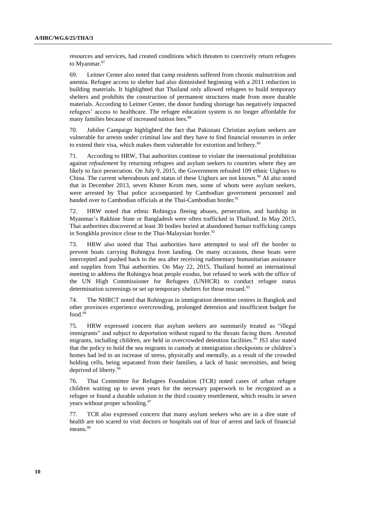resources and services, had created conditions which threaten to coercively return refugees to Myanmar.<sup>87</sup>

69. Leitner Center also noted that camp residents suffered from chronic malnutrition and anemia. Refugee access to shelter had also diminished beginning with a 2011 reduction in building materials. It highlighted that Thailand only allowed refugees to build temporary shelters and prohibits the construction of permanent structures made from more durable materials. According to Leitner Center, the donor funding shortage has negatively impacted refugees' access to healthcare. The refugee education system is no longer affordable for many families because of increased tuition fees.<sup>88</sup>

70. Jubilee Campaign highlighted the fact that Pakistani Christian asylum seekers are vulnerable for arrests under criminal law and they have to find financial resources in order to extend their visa, which makes them vulnerable for extortion and bribery.<sup>89</sup>

71. According to HRW, Thai authorities continue to violate the international prohibition against *refoulement* by returning refugees and asylum seekers to countries where they are likely to face persecution. On July 9, 2015, the Government refouled 109 ethnic Uighurs to China. The current whereabouts and status of these Uighurs are not known.<sup>90</sup> AI also noted that in December 2013, seven Khmer Krom men, some of whom were asylum seekers, were arrested by Thai police accompanied by Cambodian government personnel and handed over to Cambodian officials at the Thai-Cambodian border.<sup>91</sup>

72. HRW noted that ethnic Rohingya fleeing abuses, persecution, and hardship in Myanmar's Rakhine State or Bangladesh were often trafficked in Thailand. In May 2015, Thai authorities discovered at least 30 bodies buried at abandoned human trafficking camps in Songkhla province close to the Thai-Malaysian border.<sup>92</sup>

73. HRW also noted that Thai authorities have attempted to seal off the border to prevent boats carrying Rohingya from landing. On many occasions, those boats were intercepted and pushed back to the sea after receiving rudimentary humanitarian assistance and supplies from Thai authorities. On May 22, 2015, Thailand hosted an international meeting to address the Rohingya boat people exodus, but refused to work with the office of the UN High Commissioner for Refugees (UNHCR) to conduct refugee status determination screenings or set up temporary shelters for those rescued.<sup>93</sup>

74. The NHRCT noted that Rohingyas in immigration detention centres in Bangkok and other provinces experience overcrowding, prolonged detention and insufficient budget for food.<sup>9</sup>

75. HRW expressed concern that asylum seekers are summarily treated as "illegal immigrants" and subject to deportation without regard to the threats facing them. Arrested migrants, including children, are held in overcrowded detention facilities.<sup>95</sup> JS3 also stated that the policy to hold the sea migrants in custody at immigration checkpoints or children's homes had led to an increase of stress, physically and mentally, as a result of the crowded holding cells, being separated from their families, a lack of basic necessities, and being deprived of liberty.<sup>9</sup>

76. Thai Committee for Refugees Foundation (TCR) noted cases of urban refugee children waiting up to seven years for the necessary paperwork to be recognized as a refugee or found a durable solution in the third country resettlement, which results in seven years without proper schooling.<sup>97</sup>

77. TCR also expressed concern that many asylum seekers who are in a dire state of health are too scared to visit doctors or hospitals out of fear of arrest and lack of financial means.<sup>98</sup>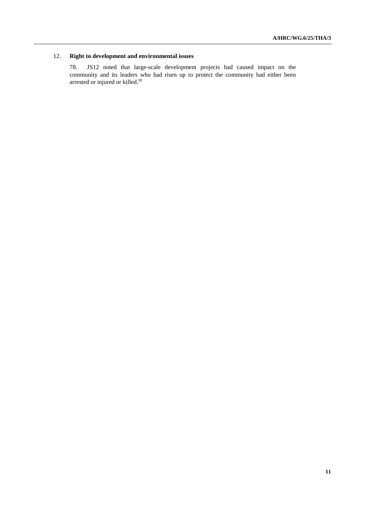## 12. **Right to development and environmental issues**

78. JS12 noted that large-scale development projects had caused impact on the community and its leaders who had risen up to protect the community had either been arrested or injured or killed.<sup>99</sup>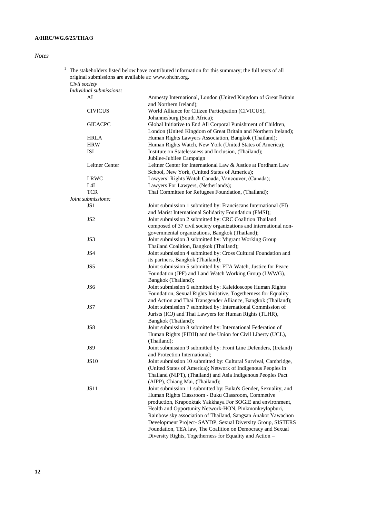| I |
|---|
|---|

|  |               | The stakeholders listed below have contributed information for this summary; the full texts of all<br>original submissions are available at: www.ohchr.org. |                                                                                                                                 |  |
|--|---------------|-------------------------------------------------------------------------------------------------------------------------------------------------------------|---------------------------------------------------------------------------------------------------------------------------------|--|
|  | Civil society |                                                                                                                                                             |                                                                                                                                 |  |
|  |               | Individual submissions:                                                                                                                                     |                                                                                                                                 |  |
|  |               | AI                                                                                                                                                          | Amnesty International, London (United Kingdom of Great Britain<br>and Northern Ireland);                                        |  |
|  |               | <b>CIVICUS</b>                                                                                                                                              | World Alliance for Citizen Participation (CIVICUS),<br>Johannesburg (South Africa);                                             |  |
|  |               | <b>GIEACPC</b>                                                                                                                                              | Global Initiative to End All Corporal Punishment of Children,<br>London (United Kingdom of Great Britain and Northern Ireland); |  |
|  |               | <b>HRLA</b>                                                                                                                                                 | Human Rights Lawyers Association, Bangkok (Thailand);                                                                           |  |
|  |               | <b>HRW</b>                                                                                                                                                  | Human Rights Watch, New York (United States of America);                                                                        |  |
|  |               | ISI                                                                                                                                                         | Institute on Statelessness and Inclusion, (Thailand);<br>Jubilee-Jubilee Campaign                                               |  |
|  |               | Leitner Center                                                                                                                                              | Leitner Center for International Law & Justice at Fordham Law<br>School, New York, (United States of America);                  |  |
|  |               | <b>LRWC</b>                                                                                                                                                 | Lawyers' Rights Watch Canada, Vancouver, (Canada);                                                                              |  |
|  |               | L4L                                                                                                                                                         | Lawyers For Lawyers, (Netherlands);                                                                                             |  |
|  |               | <b>TCR</b>                                                                                                                                                  | Thai Committee for Refugees Foundation, (Thailand);                                                                             |  |
|  |               | Joint submissions:                                                                                                                                          |                                                                                                                                 |  |
|  |               | JS <sub>1</sub>                                                                                                                                             | Joint submission 1 submitted by: Franciscans International (FI)                                                                 |  |
|  |               |                                                                                                                                                             | and Marist International Solidarity Foundation (FMSI);                                                                          |  |
|  |               | JS <sub>2</sub>                                                                                                                                             | Joint submission 2 submitted by: CRC Coalition Thailand                                                                         |  |
|  |               |                                                                                                                                                             | composed of 37 civil society organizations and international non-                                                               |  |
|  |               |                                                                                                                                                             | governmental organizations, Bangkok (Thailand);                                                                                 |  |
|  |               | JS3                                                                                                                                                         | Joint submission 3 submitted by: Migrant Working Group                                                                          |  |
|  |               |                                                                                                                                                             | Thailand Coalition, Bangkok (Thailand);                                                                                         |  |
|  |               | JS4                                                                                                                                                         | Joint submission 4 submitted by: Cross Cultural Foundation and                                                                  |  |
|  |               |                                                                                                                                                             | its partners, Bangkok (Thailand);                                                                                               |  |
|  |               | JS5                                                                                                                                                         | Joint submission 5 submitted by: FTA Watch, Justice for Peace                                                                   |  |
|  |               |                                                                                                                                                             | Foundation (JPF) and Land Watch Working Group (LWWG),                                                                           |  |
|  |               |                                                                                                                                                             | Bangkok (Thailand);                                                                                                             |  |
|  |               | JS <sub>6</sub>                                                                                                                                             | Joint submission 6 submitted by: Kaleidoscope Human Rights                                                                      |  |
|  |               |                                                                                                                                                             | Foundation, Sexual Rights Initiative, Togetherness for Equality                                                                 |  |
|  |               |                                                                                                                                                             | and Action and Thai Transgender Alliance, Bangkok (Thailand);                                                                   |  |
|  |               | JS7                                                                                                                                                         | Joint submission 7 submitted by: International Commission of                                                                    |  |
|  |               |                                                                                                                                                             | Jurists (ICJ) and Thai Lawyers for Human Rights (TLHR),                                                                         |  |
|  |               |                                                                                                                                                             | Bangkok (Thailand);                                                                                                             |  |
|  |               | JS8                                                                                                                                                         | Joint submission 8 submitted by: International Federation of                                                                    |  |
|  |               |                                                                                                                                                             | Human Rights (FIDH) and the Union for Civil Liberty (UCL),                                                                      |  |
|  |               |                                                                                                                                                             | (Thailand);                                                                                                                     |  |
|  |               | JS9                                                                                                                                                         | Joint submission 9 submitted by: Front Line Defenders, (Ireland)                                                                |  |
|  |               |                                                                                                                                                             | and Protection International;                                                                                                   |  |
|  |               | <b>JS10</b>                                                                                                                                                 | Joint submission 10 submitted by: Cultural Survival, Cambridge,                                                                 |  |
|  |               |                                                                                                                                                             | (United States of America); Network of Indigenous Peoples in                                                                    |  |
|  |               |                                                                                                                                                             | Thailand (NIPT), (Thailand) and Asia Indigenous Peoples Pact                                                                    |  |
|  |               |                                                                                                                                                             | (AIPP), Chiang Mai, (Thailand);                                                                                                 |  |
|  |               | JS11                                                                                                                                                        | Joint submission 11 submitted by: Buku's Gender, Sexuality, and                                                                 |  |
|  |               |                                                                                                                                                             | Human Rights Classroom - Buku Classroom, Commetive                                                                              |  |
|  |               |                                                                                                                                                             | production, Krapooktak Yakkhaya For SOGIE and environment,                                                                      |  |
|  |               |                                                                                                                                                             | Health and Opportunity Network-HON, Pinkmonkeylopburi,                                                                          |  |
|  |               |                                                                                                                                                             | Rainbow sky association of Thailand, Sangsan Anakot Yawachon                                                                    |  |
|  |               |                                                                                                                                                             | Development Project- SAYDP, Sexual Diversity Group, SISTERS                                                                     |  |
|  |               |                                                                                                                                                             | Foundation, TEA law, The Coalition on Democracy and Sexual                                                                      |  |
|  |               |                                                                                                                                                             | Diversity Rights, Togetherness for Equality and Action -                                                                        |  |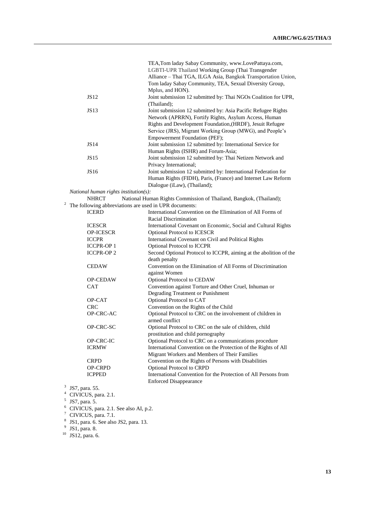|   |                                                        | TEA, Tom laday Sabay Community, www.LovePattaya.com,               |
|---|--------------------------------------------------------|--------------------------------------------------------------------|
|   |                                                        | LGBTI-UPR Thailand Working Group (Thai Transgender                 |
|   |                                                        | Alliance - Thai TGA, ILGA Asia, Bangkok Transportation Union,      |
|   |                                                        | Tom laday Sabay Community, TEA, Sexual Diversity Group,            |
|   |                                                        | Mplus, and HON).                                                   |
|   | JS12                                                   | Joint submission 12 submitted by: Thai NGOs Coalition for UPR,     |
|   |                                                        | (Thailand);                                                        |
|   | JS13                                                   | Joint submission 12 submitted by: Asia Pacific Refugee Rights      |
|   |                                                        | Network (APRRN), Fortify Rights, Asylum Access, Human              |
|   |                                                        | Rights and Development Foundation, (HRDF), Jesuit Refugee          |
|   |                                                        | Service (JRS), Migrant Working Group (MWG), and People's           |
|   |                                                        | Empowerment Foundation (PEF);                                      |
|   | <b>JS14</b>                                            | Joint submission 12 submitted by: International Service for        |
|   |                                                        | Human Rights (ISHR) and Forum-Asia;                                |
|   | <b>JS15</b>                                            | Joint submission 12 submitted by: Thai Netizen Network and         |
|   |                                                        | Privacy International;                                             |
|   | JS16                                                   | Joint submission 12 submitted by: International Federation for     |
|   |                                                        | Human Rights (FIDH), Paris, (France) and Internet Law Reform       |
|   |                                                        |                                                                    |
|   |                                                        | Dialogue (iLaw), (Thailand);                                       |
|   | National human rights institution $(s)$ :              |                                                                    |
| 2 | <b>NHRCT</b>                                           | National Human Rights Commission of Thailand, Bangkok, (Thailand); |
|   | The following abbreviations are used in UPR documents: |                                                                    |
|   | <b>ICERD</b>                                           | International Convention on the Elimination of All Forms of        |
|   |                                                        | Racial Discrimination                                              |
|   | <b>ICESCR</b>                                          | International Covenant on Economic, Social and Cultural Rights     |
|   | <b>OP-ICESCR</b>                                       | Optional Protocol to ICESCR                                        |
|   | <b>ICCPR</b>                                           | International Covenant on Civil and Political Rights               |
|   | <b>ICCPR-OP1</b>                                       | Optional Protocol to ICCPR                                         |
|   | <b>ICCPR-OP2</b>                                       | Second Optional Protocol to ICCPR, aiming at the abolition of the  |
|   |                                                        | death penalty                                                      |
|   | <b>CEDAW</b>                                           | Convention on the Elimination of All Forms of Discrimination       |
|   |                                                        | against Women                                                      |
|   | <b>OP-CEDAW</b>                                        | Optional Protocol to CEDAW                                         |
|   | CAT                                                    | Convention against Torture and Other Cruel, Inhuman or             |
|   |                                                        | Degrading Treatment or Punishment                                  |
|   | OP-CAT                                                 | Optional Protocol to CAT                                           |
|   | <b>CRC</b>                                             | Convention on the Rights of the Child                              |
|   | OP-CRC-AC                                              | Optional Protocol to CRC on the involvement of children in         |
|   |                                                        | armed conflict                                                     |
|   | OP-CRC-SC                                              | Optional Protocol to CRC on the sale of children, child            |
|   |                                                        | prostitution and child pornography                                 |
|   | OP-CRC-IC                                              | Optional Protocol to CRC on a communications procedure             |
|   | <b>ICRMW</b>                                           | International Convention on the Protection of the Rights of All    |
|   |                                                        | Migrant Workers and Members of Their Families                      |
|   | <b>CRPD</b>                                            | Convention on the Rights of Persons with Disabilities              |
|   | <b>OP-CRPD</b>                                         | Optional Protocol to CRPD                                          |
|   | <b>ICPPED</b>                                          | International Convention for the Protection of All Persons from    |
|   |                                                        | <b>Enforced Disappearance</b>                                      |
| 3 | JS7, para. 55.                                         |                                                                    |
|   |                                                        |                                                                    |

 $^4$  CIVICUS, para. 2.1.<br>  $^5$  JS7, para. 5.

<sup>6</sup> CIVICUS, para. 2.1. See also AI, p.2.

<sup>7</sup> CIVICUS, para. 7.1.<br>
<sup>8</sup> JS1, para. 6. See also JS2, para. 13.<br>
<sup>9</sup> JS1, para. 8.

 $10$  JS12, para. 6.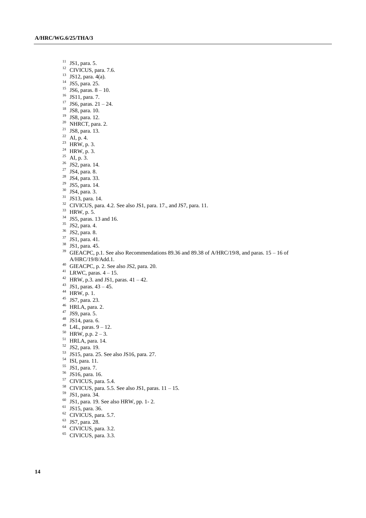- JS1, para. 5.
- <sup>12</sup> CIVICUS, para. 7.6.
- JS12, para. 4(a).
- <sup>14</sup> JS5, para. 25.
- <sup>15</sup> JS6, paras.  $8 10$ .
- JS11, para. 7.
- <sup>17</sup> JS6, paras.  $21 24$ .
- JS8, para. 10.
- JS8, para. 12.
- <sup>20</sup> NHRCT, para. 2.
- JS8, para. 13.
- AI, p. 4.
- HRW, p. 3.
- $^{24}$  HRW, p. 3.
- AI, p. 3.
- JS2, para. 14.
- JS4, para. 8.
- JS4, para. 33.
- JS5, para. 14.
- JS4, para. 3.
- JS13, para. 14.
- <sup>32</sup> CIVICUS, para. 4.2. See also JS1, para. 17., and JS7, para. 11.
- HRW, p. 5.
- JS5, paras. 13 and 16.
- JS2, para. 4.
- JS2, para. 8.
- JS1, para. 41.
- JS1, para. 45.
- <sup>39</sup> GIEACPC, p.1. See also Recommendations 89.36 and 89.38 of A/HRC/19/8, and paras. 15 16 of A/HRC/19/8/Add.1.
- GIEACPC, p. 2. See also JS2, para. 20.
- <sup>41</sup> LRWC, paras.  $4 15$ .
- <sup>42</sup> HRW, p.3. and JS1, paras.  $41 42$ .
- 43 JS1, paras.  $43 45$ .
- HRW, p. 1.
- JS7, para. 23.
- HRLA, para. 2.
- JS9, para. 5.
- JS14, para. 6.
- <sup>49</sup> L4L, paras.  $9 12$ .
- HRW, p.p.  $2 3$ .
- HRLA, para. 14.
- JS2, para. 19.
- JS15, para. 25. See also JS16, para. 27.
- ISI, para. 11.
- JS1, para. 7.
- JS16, para. 16.
- CIVICUS, para. 5.4.
- <sup>58</sup> CIVICUS, para. 5.5. See also JS1, paras.  $11 15$ .
- JS1, para. 34.
- JS1, para. 19. See also HRW, pp. 1- 2.
- JS15, para. 36.
- CIVICUS, para. 5.7.
- JS7, para. 28.
- CIVICUS, para. 3.2.
- CIVICUS, para. 3.3.